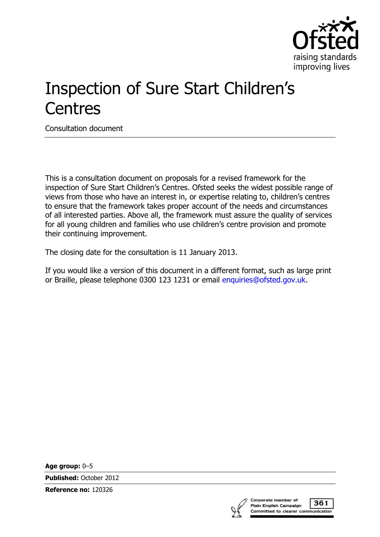

# Inspection of Sure Start Children's **Centres**

Consultation document

This is a consultation document on proposals for a revised framework for the inspection of Sure Start Children's Centres. Ofsted seeks the widest possible range of views from those who have an interest in, or expertise relating to, children's centres to ensure that the framework takes proper account of the needs and circumstances of all interested parties. Above all, the framework must assure the quality of services for all young children and families who use children's centre provision and promote their continuing improvement.

The closing date for the consultation is 11 January 2013.

If you would like a version of this document in a different format, such as large print or Braille, please telephone 0300 123 1231 or email [enquiries@ofsted.gov.uk.](mailto:%20enquiries@ofsted.gov.uk)

**Age group:** 0–5

**Published:** October 2012

**Reference no:** 120326



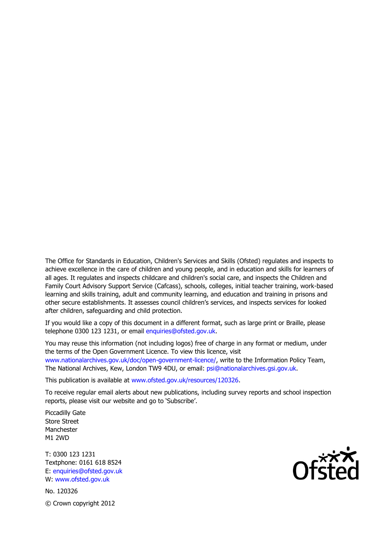The Office for Standards in Education, Children's Services and Skills (Ofsted) regulates and inspects to achieve excellence in the care of children and young people, and in education and skills for learners of all ages. It regulates and inspects childcare and children's social care, and inspects the Children and Family Court Advisory Support Service (Cafcass), schools, colleges, initial teacher training, work-based learning and skills training, adult and community learning, and education and training in prisons and other secure establishments. It assesses council children's services, and inspects services for looked after children, safeguarding and child protection.

If you would like a copy of this document in a different format, such as large print or Braille, please telephone 0300 123 1231, or email enquiries@ofsted.gov.uk.

You may reuse this information (not including logos) free of charge in any format or medium, under the terms of the Open Government Licence. To view this licence, visit www.nationalarchives.gov.uk/doc/open-government-licence/, write to the Information Policy Team, The National Archives, Kew, London TW9 4DU, or email: psi@nationalarchives.gsi.gov.uk.

This publication is available at www.ofsted.gov.uk/resources/120326.

To receive regular email alerts about new publications, including survey reports and school inspection reports, please visit our website and go to 'Subscribe'.

Piccadilly Gate Store Street Manchester M1 2WD

T: 0300 123 1231 Textphone: 0161 618 8524 E: enquiries@ofsted.gov.uk W: www.ofsted.gov.uk

No. 120326 © Crown copyright 2012

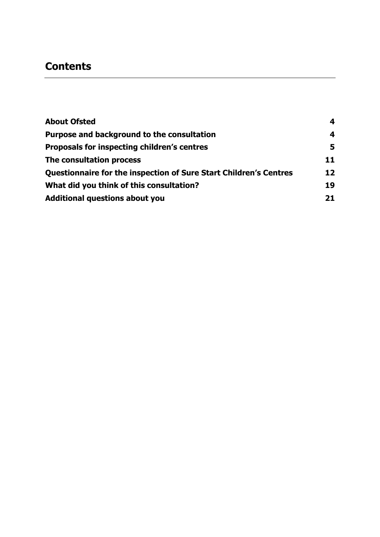# **Contents**

| <b>About Ofsted</b>                                                      | 4  |
|--------------------------------------------------------------------------|----|
| Purpose and background to the consultation                               | 4  |
| <b>Proposals for inspecting children's centres</b>                       | 5  |
| The consultation process                                                 | 11 |
| <b>Questionnaire for the inspection of Sure Start Children's Centres</b> | 12 |
| What did you think of this consultation?                                 | 19 |
| <b>Additional questions about you</b>                                    | 21 |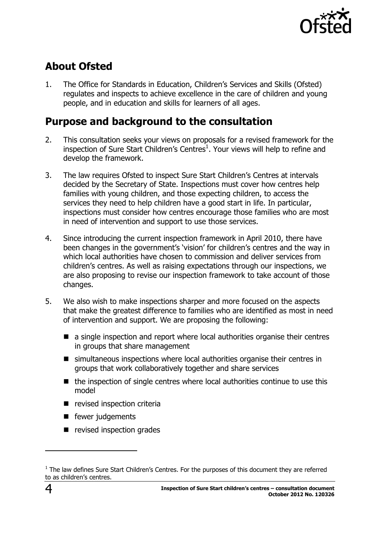

# <span id="page-3-0"></span>**About Ofsted**

1. The Office for Standards in Education, Children's Services and Skills (Ofsted) regulates and inspects to achieve excellence in the care of children and young people, and in education and skills for learners of all ages.

# <span id="page-3-1"></span>**Purpose and background to the consultation**

- 2. This consultation seeks your views on proposals for a revised framework for the inspection of Sure Start Children's Centres<sup>1</sup>. Your views will help to refine and develop the framework.
- 3. The law requires Ofsted to inspect Sure Start Children's Centres at intervals decided by the Secretary of State. Inspections must cover how centres help families with young children, and those expecting children, to access the services they need to help children have a good start in life. In particular, inspections must consider how centres encourage those families who are most in need of intervention and support to use those services.
- 4. Since introducing the current inspection framework in April 2010, there have been changes in the government's 'vision' for children's centres and the way in which local authorities have chosen to commission and deliver services from children's centres. As well as raising expectations through our inspections, we are also proposing to revise our inspection framework to take account of those changes.
- 5. We also wish to make inspections sharper and more focused on the aspects that make the greatest difference to families who are identified as most in need of intervention and support. We are proposing the following:
	- a single inspection and report where local authorities organise their centres in groups that share management
	- simultaneous inspections where local authorities organise their centres in groups that work collaboratively together and share services
	- $\blacksquare$  the inspection of single centres where local authorities continue to use this model
	- **P** revised inspection criteria
	- $\blacksquare$  fewer judgements
	- $\blacksquare$  revised inspection grades

 $\overline{a}$ 

 $<sup>1</sup>$  The law defines Sure Start Children's Centres. For the purposes of this document they are referred</sup> to as children's centres.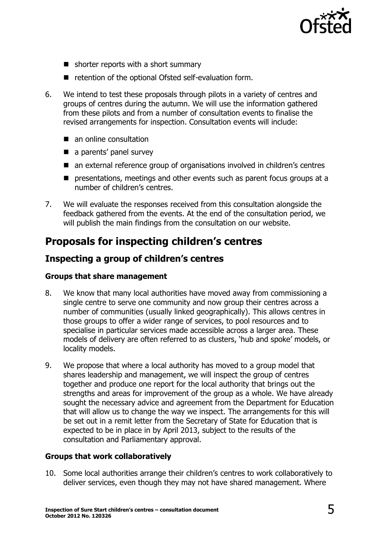

- $\blacksquare$  shorter reports with a short summary
- retention of the optional Ofsted self-evaluation form.
- 6. We intend to test these proposals through pilots in a variety of centres and groups of centres during the autumn. We will use the information gathered from these pilots and from a number of consultation events to finalise the revised arrangements for inspection. Consultation events will include:
	- an online consultation
	- a parents' panel survey
	- an external reference group of organisations involved in children's centres
	- **P** presentations, meetings and other events such as parent focus groups at a number of children's centres.
- 7. We will evaluate the responses received from this consultation alongside the feedback gathered from the events. At the end of the consultation period, we will publish the main findings from the consultation on our website.

# <span id="page-4-0"></span>**Proposals for inspecting children's centres**

### **Inspecting a group of children's centres**

#### **Groups that share management**

- 8. We know that many local authorities have moved away from commissioning a single centre to serve one community and now group their centres across a number of communities (usually linked geographically). This allows centres in those groups to offer a wider range of services, to pool resources and to specialise in particular services made accessible across a larger area. These models of delivery are often referred to as clusters, 'hub and spoke' models, or locality models.
- 9. We propose that where a local authority has moved to a group model that shares leadership and management, we will inspect the group of centres together and produce one report for the local authority that brings out the strengths and areas for improvement of the group as a whole. We have already sought the necessary advice and agreement from the Department for Education that will allow us to change the way we inspect. The arrangements for this will be set out in a remit letter from the Secretary of State for Education that is expected to be in place in by April 2013, subject to the results of the consultation and Parliamentary approval.

#### **Groups that work collaboratively**

10. Some local authorities arrange their children's centres to work collaboratively to deliver services, even though they may not have shared management. Where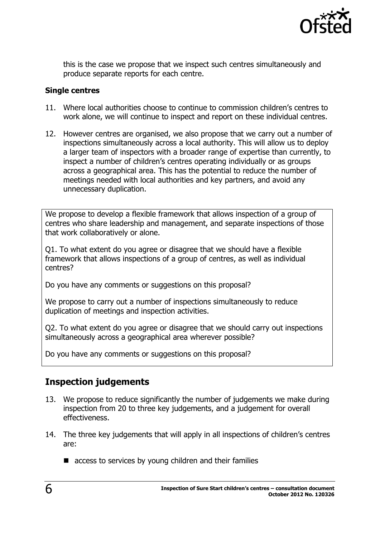

this is the case we propose that we inspect such centres simultaneously and produce separate reports for each centre.

#### **Single centres**

- 11. Where local authorities choose to continue to commission children's centres to work alone, we will continue to inspect and report on these individual centres.
- 12. However centres are organised, we also propose that we carry out a number of inspections simultaneously across a local authority. This will allow us to deploy a larger team of inspectors with a broader range of expertise than currently, to inspect a number of children's centres operating individually or as groups across a geographical area. This has the potential to reduce the number of meetings needed with local authorities and key partners, and avoid any unnecessary duplication.

We propose to develop a flexible framework that allows inspection of a group of centres who share leadership and management, and separate inspections of those that work collaboratively or alone.

Q1. To what extent do you agree or disagree that we should have a flexible framework that allows inspections of a group of centres, as well as individual centres?

Do you have any comments or suggestions on this proposal?

We propose to carry out a number of inspections simultaneously to reduce duplication of meetings and inspection activities.

Q2. To what extent do you agree or disagree that we should carry out inspections simultaneously across a geographical area wherever possible?

Do you have any comments or suggestions on this proposal?

### **Inspection judgements**

- 13. We propose to reduce significantly the number of judgements we make during inspection from 20 to three key judgements, and a judgement for overall effectiveness.
- 14. The three key judgements that will apply in all inspections of children's centres are:
	- $\blacksquare$  access to services by young children and their families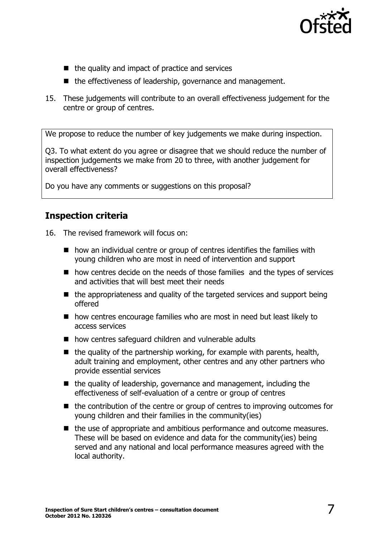

- $\blacksquare$  the quality and impact of practice and services
- the effectiveness of leadership, governance and management.
- 15. These judgements will contribute to an overall effectiveness judgement for the centre or group of centres.

We propose to reduce the number of key judgements we make during inspection.

Q3. To what extent do you agree or disagree that we should reduce the number of inspection judgements we make from 20 to three, with another judgement for overall effectiveness?

Do you have any comments or suggestions on this proposal?

### **Inspection criteria**

16. The revised framework will focus on:

- $\blacksquare$  how an individual centre or group of centres identifies the families with young children who are most in need of intervention and support
- how centres decide on the needs of those families and the types of services and activities that will best meet their needs
- $\blacksquare$  the appropriateness and quality of the targeted services and support being offered
- how centres encourage families who are most in need but least likely to access services
- how centres safeguard children and vulnerable adults
- $\blacksquare$  the quality of the partnership working, for example with parents, health, adult training and employment, other centres and any other partners who provide essential services
- $\blacksquare$  the quality of leadership, governance and management, including the effectiveness of self-evaluation of a centre or group of centres
- the contribution of the centre or group of centres to improving outcomes for young children and their families in the community(ies)
- the use of appropriate and ambitious performance and outcome measures. These will be based on evidence and data for the community(ies) being served and any national and local performance measures agreed with the local authority.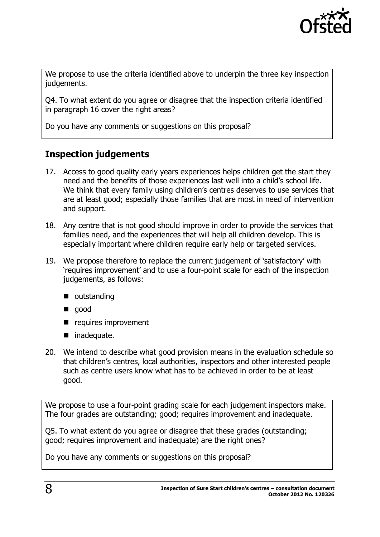

We propose to use the criteria identified above to underpin the three key inspection judgements.

Q4. To what extent do you agree or disagree that the inspection criteria identified in paragraph 16 cover the right areas?

Do you have any comments or suggestions on this proposal?

### **Inspection judgements**

- 17. Access to good quality early years experiences helps children get the start they need and the benefits of those experiences last well into a child's school life. We think that every family using children's centres deserves to use services that are at least good; especially those families that are most in need of intervention and support.
- 18. Any centre that is not good should improve in order to provide the services that families need, and the experiences that will help all children develop. This is especially important where children require early help or targeted services.
- 19. We propose therefore to replace the current judgement of 'satisfactory' with 'requires improvement' and to use a four-point scale for each of the inspection judgements, as follows:
	- **u** outstanding
	- qood
	- **P** requires improvement
	- inadequate.
- 20. We intend to describe what good provision means in the evaluation schedule so that children's centres, local authorities, inspectors and other interested people such as centre users know what has to be achieved in order to be at least good.

We propose to use a four-point grading scale for each judgement inspectors make. The four grades are outstanding; good; requires improvement and inadequate.

Q5. To what extent do you agree or disagree that these grades (outstanding; good; requires improvement and inadequate) are the right ones?

Do you have any comments or suggestions on this proposal?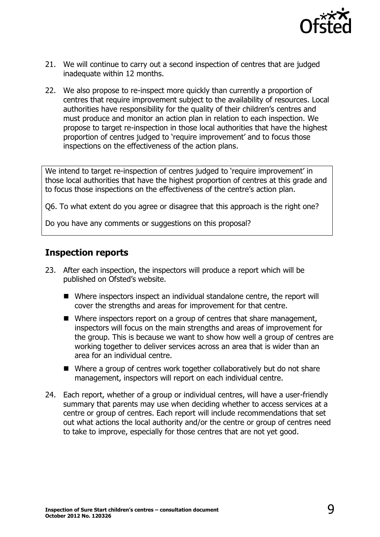

- 21. We will continue to carry out a second inspection of centres that are judged inadequate within 12 months.
- 22. We also propose to re-inspect more quickly than currently a proportion of centres that require improvement subject to the availability of resources. Local authorities have responsibility for the quality of their children's centres and must produce and monitor an action plan in relation to each inspection. We propose to target re-inspection in those local authorities that have the highest proportion of centres judged to 'require improvement' and to focus those inspections on the effectiveness of the action plans.

We intend to target re-inspection of centres judged to 'require improvement' in those local authorities that have the highest proportion of centres at this grade and to focus those inspections on the effectiveness of the centre's action plan.

Q6. To what extent do you agree or disagree that this approach is the right one?

Do you have any comments or suggestions on this proposal?

### **Inspection reports**

- 23. After each inspection, the inspectors will produce a report which will be published on Ofsted's website.
	- Where inspectors inspect an individual standalone centre, the report will cover the strengths and areas for improvement for that centre.
	- Where inspectors report on a group of centres that share management, inspectors will focus on the main strengths and areas of improvement for the group. This is because we want to show how well a group of centres are working together to deliver services across an area that is wider than an area for an individual centre.
	- Where a group of centres work together collaboratively but do not share management, inspectors will report on each individual centre.
- 24. Each report, whether of a group or individual centres, will have a user-friendly summary that parents may use when deciding whether to access services at a centre or group of centres. Each report will include recommendations that set out what actions the local authority and/or the centre or group of centres need to take to improve, especially for those centres that are not yet good.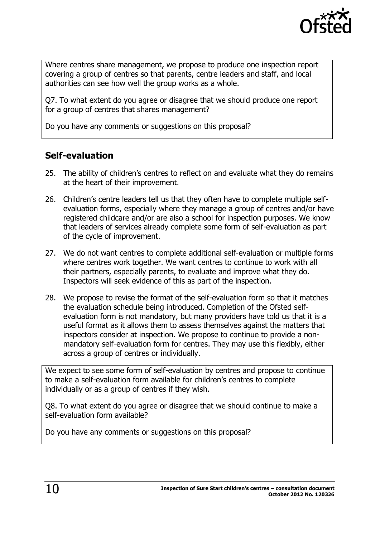

Where centres share management, we propose to produce one inspection report covering a group of centres so that parents, centre leaders and staff, and local authorities can see how well the group works as a whole.

Q7. To what extent do you agree or disagree that we should produce one report for a group of centres that shares management?

Do you have any comments or suggestions on this proposal?

### **Self-evaluation**

- 25. The ability of children's centres to reflect on and evaluate what they do remains at the heart of their improvement.
- 26. Children's centre leaders tell us that they often have to complete multiple selfevaluation forms, especially where they manage a group of centres and/or have registered childcare and/or are also a school for inspection purposes. We know that leaders of services already complete some form of self-evaluation as part of the cycle of improvement.
- 27. We do not want centres to complete additional self-evaluation or multiple forms where centres work together. We want centres to continue to work with all their partners, especially parents, to evaluate and improve what they do. Inspectors will seek evidence of this as part of the inspection.
- 28. We propose to revise the format of the self-evaluation form so that it matches the evaluation schedule being introduced. Completion of the Ofsted selfevaluation form is not mandatory, but many providers have told us that it is a useful format as it allows them to assess themselves against the matters that inspectors consider at inspection. We propose to continue to provide a nonmandatory self-evaluation form for centres. They may use this flexibly, either across a group of centres or individually.

We expect to see some form of self-evaluation by centres and propose to continue to make a self-evaluation form available for children's centres to complete individually or as a group of centres if they wish.

Q8. To what extent do you agree or disagree that we should continue to make a self-evaluation form available?

Do you have any comments or suggestions on this proposal?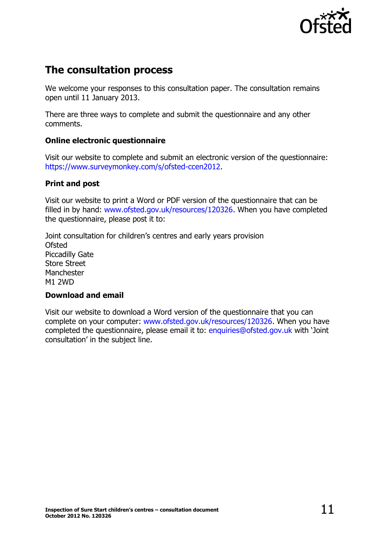

# <span id="page-10-0"></span>**The consultation process**

We welcome your responses to this consultation paper. The consultation remains open until 11 January 2013.

There are three ways to complete and submit the questionnaire and any other comments.

#### **Online electronic questionnaire**

Visit our website to complete and submit an electronic version of the questionnaire: [https://www.surveymonkey.com/s/ofsted-ccen2012.](https://www.surveymonkey.com/s/ofsted-ccen2012)

#### **Print and post**

Visit our website to print a Word or PDF version of the questionnaire that can be filled in by hand: [www.ofsted.gov.uk/resources/120326.](http://www.ofsted.gov.uk/resources/120326) When you have completed the questionnaire, please post it to:

Joint consultation for children's centres and early years provision Ofsted Piccadilly Gate Store Street **Manchester** M1 2WD

#### **Download and email**

Visit our website to download a Word version of the questionnaire that you can complete on your computer: [www.ofsted.gov.uk/resources/120326.](http://www.ofsted.gov.uk/resources/120326) When you have completed the questionnaire, please email it to: [enquiries@ofsted.gov.uk](mailto:enquiries@ofsted.gov.uk) with 'Joint consultation' in the subject line.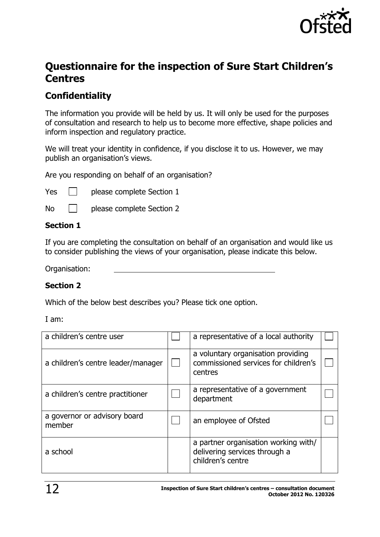

# <span id="page-11-0"></span>**Questionnaire for the inspection of Sure Start Children's Centres**

## **Confidentiality**

The information you provide will be held by us. It will only be used for the purposes of consultation and research to help us to become more effective, shape policies and inform inspection and regulatory practice.

We will treat your identity in confidence, if you disclose it to us. However, we may publish an organisation's views.

Are you responding on behalf of an organisation?

Yes **please** complete Section 1

No **please complete Section 2** 

#### **Section 1**

If you are completing the consultation on behalf of an organisation and would like us to consider publishing the views of your organisation, please indicate this below.

Organisation:

#### **Section 2**

Which of the below best describes you? Please tick one option.

I am:

| a children's centre user               | a representative of a local authority                                                      |  |
|----------------------------------------|--------------------------------------------------------------------------------------------|--|
| a children's centre leader/manager     | a voluntary organisation providing<br>commissioned services for children's<br>centres      |  |
| a children's centre practitioner       | a representative of a government<br>department                                             |  |
| a governor or advisory board<br>member | an employee of Ofsted                                                                      |  |
| a school                               | a partner organisation working with/<br>delivering services through a<br>children's centre |  |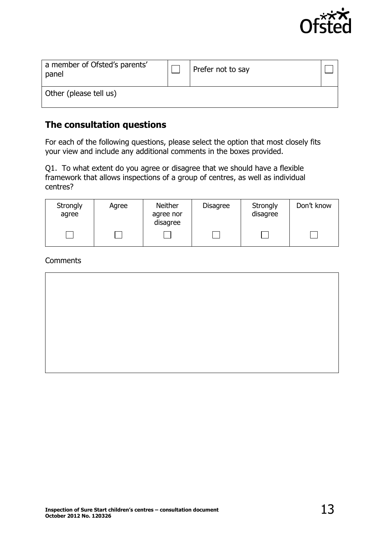

| a member of Ofsted's parents'<br>panel | Prefer not to say |  |
|----------------------------------------|-------------------|--|
| Other (please tell us)                 |                   |  |

### **The consultation questions**

For each of the following questions, please select the option that most closely fits your view and include any additional comments in the boxes provided.

Q1. To what extent do you agree or disagree that we should have a flexible framework that allows inspections of a group of centres, as well as individual centres?

| Strongly<br>agree | Agree | Neither<br>agree nor<br>disagree | <b>Disagree</b> | Strongly<br>disagree | Don't know |
|-------------------|-------|----------------------------------|-----------------|----------------------|------------|
|                   |       |                                  |                 |                      |            |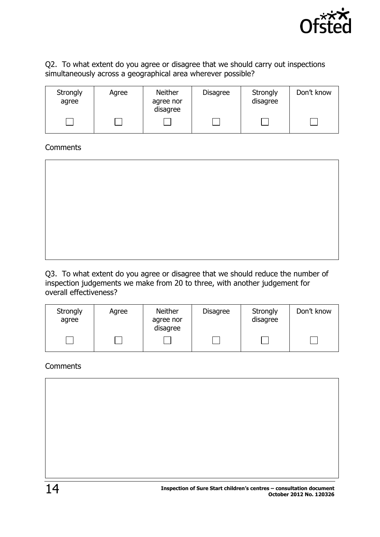

#### Q2. To what extent do you agree or disagree that we should carry out inspections simultaneously across a geographical area wherever possible?

| Strongly<br>agree | Agree | Neither<br>agree nor<br>disagree | <b>Disagree</b> | Strongly<br>disagree | Don't know |
|-------------------|-------|----------------------------------|-----------------|----------------------|------------|
|                   |       |                                  |                 |                      |            |

#### **Comments**

Q3. To what extent do you agree or disagree that we should reduce the number of inspection judgements we make from 20 to three, with another judgement for overall effectiveness?

| Strongly<br>agree | Agree | <b>Neither</b><br>agree nor<br>disagree | <b>Disagree</b> | Strongly<br>disagree | Don't know |
|-------------------|-------|-----------------------------------------|-----------------|----------------------|------------|
|                   |       |                                         |                 |                      |            |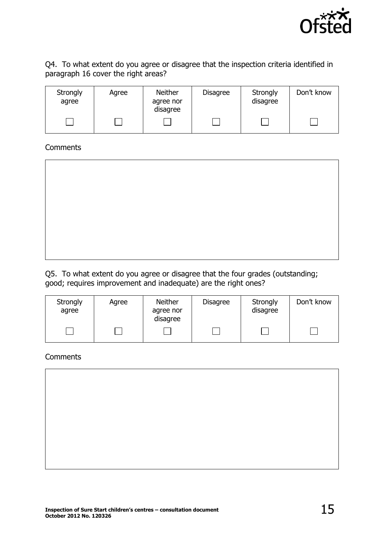

Q4. To what extent do you agree or disagree that the inspection criteria identified in paragraph 16 cover the right areas?

| Strongly<br>agree | Agree | <b>Neither</b><br>agree nor<br>disagree | <b>Disagree</b> | Strongly<br>disagree | Don't know |
|-------------------|-------|-----------------------------------------|-----------------|----------------------|------------|
|                   |       |                                         |                 |                      |            |

#### **Comments**

Q5. To what extent do you agree or disagree that the four grades (outstanding; good; requires improvement and inadequate) are the right ones?

| Strongly<br>agree | Agree | Neither<br>agree nor<br>disagree | <b>Disagree</b> | Strongly<br>disagree | Don't know |
|-------------------|-------|----------------------------------|-----------------|----------------------|------------|
|                   |       |                                  |                 |                      |            |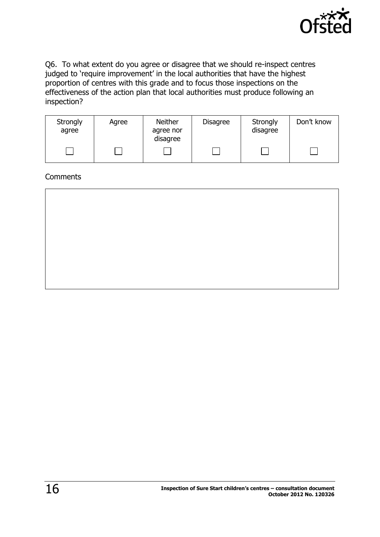

Q6. To what extent do you agree or disagree that we should re-inspect centres judged to 'require improvement' in the local authorities that have the highest proportion of centres with this grade and to focus those inspections on the effectiveness of the action plan that local authorities must produce following an inspection?

| Strongly<br>agree | Agree | <b>Neither</b><br>agree nor<br>disagree | <b>Disagree</b> | Strongly<br>disagree | Don't know |
|-------------------|-------|-----------------------------------------|-----------------|----------------------|------------|
|                   |       |                                         |                 |                      |            |

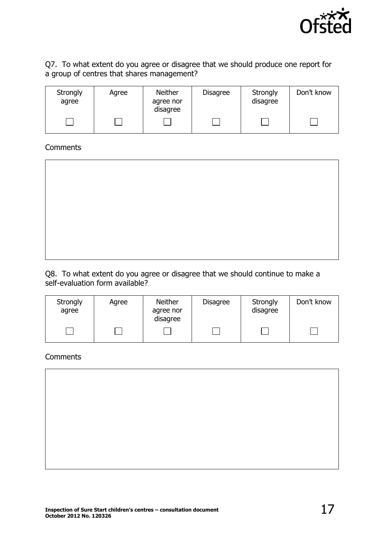

#### Q7. To what extent do you agree or disagree that we should produce one report for a group of centres that shares management?

| Strongly<br>agree | Agree | <b>Neither</b><br>agree nor<br>disagree | <b>Disagree</b> | Strongly<br>disagree | Don't know |
|-------------------|-------|-----------------------------------------|-----------------|----------------------|------------|
|                   |       |                                         |                 |                      |            |

#### **Comments**

Q8. To what extent do you agree or disagree that we should continue to make a self-evaluation form available?

| Strongly<br>agree | Agree | Neither<br>agree nor<br>disagree | <b>Disagree</b> | Strongly<br>disagree | Don't know |
|-------------------|-------|----------------------------------|-----------------|----------------------|------------|
|                   |       |                                  |                 |                      |            |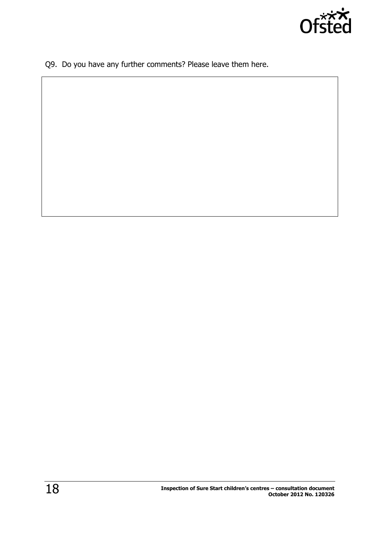

Q9. Do you have any further comments? Please leave them here.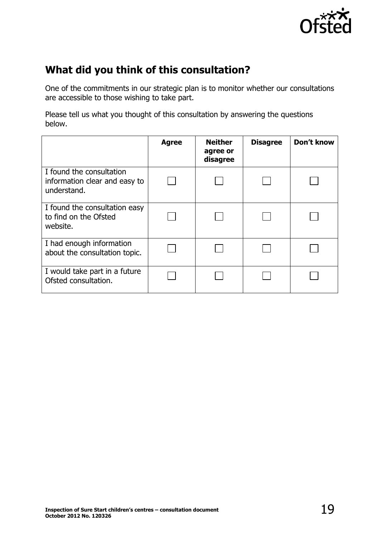

# <span id="page-18-0"></span>**What did you think of this consultation?**

One of the commitments in our strategic plan is to monitor whether our consultations are accessible to those wishing to take part.

Please tell us what you thought of this consultation by answering the questions below.

|                                                                          | <b>Agree</b> | <b>Neither</b><br>agree or<br>disagree | <b>Disagree</b> | Don't know |
|--------------------------------------------------------------------------|--------------|----------------------------------------|-----------------|------------|
| I found the consultation<br>information clear and easy to<br>understand. |              |                                        |                 |            |
| I found the consultation easy<br>to find on the Ofsted<br>website.       |              |                                        |                 |            |
| I had enough information<br>about the consultation topic.                |              |                                        |                 |            |
| I would take part in a future<br>Ofsted consultation.                    |              |                                        |                 |            |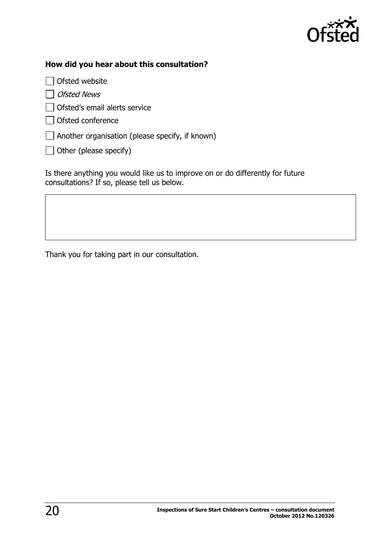

#### **How did you hear about this consultation?**

 $\Box$  Ofsted website

 $\Box$  Ofsted News

□ Ofsted's email alerts service

□ Ofsted conference

 $\Box$  Another organisation (please specify, if known)

 $\Box$  Other (please specify)

Is there anything you would like us to improve on or do differently for future consultations? If so, please tell us below.

Thank you for taking part in our consultation.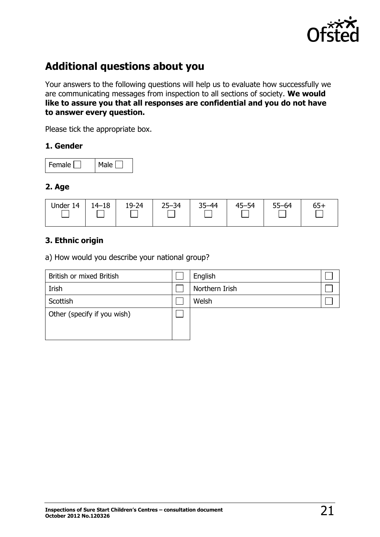

# <span id="page-20-0"></span>**Additional questions about you**

Your answers to the following questions will help us to evaluate how successfully we are communicating messages from inspection to all sections of society. **We would like to assure you that all responses are confidential and you do not have to answer every question.** 

Please tick the appropriate box.

#### **1. Gender**

| Female I | Male |
|----------|------|
|----------|------|

#### **2. Age**

| Under<br>14 | $14 - 18$ | 19-24 | $25 - 34$ | $35 - 44$ | $45 - 54$ | $55 - 64$ | 65+ |
|-------------|-----------|-------|-----------|-----------|-----------|-----------|-----|
|             |           |       |           |           |           |           |     |

#### **3. Ethnic origin**

a) How would you describe your national group?

| British or mixed British    | English        |  |
|-----------------------------|----------------|--|
| Irish                       | Northern Irish |  |
| Scottish                    | Welsh          |  |
| Other (specify if you wish) |                |  |
|                             |                |  |
|                             |                |  |